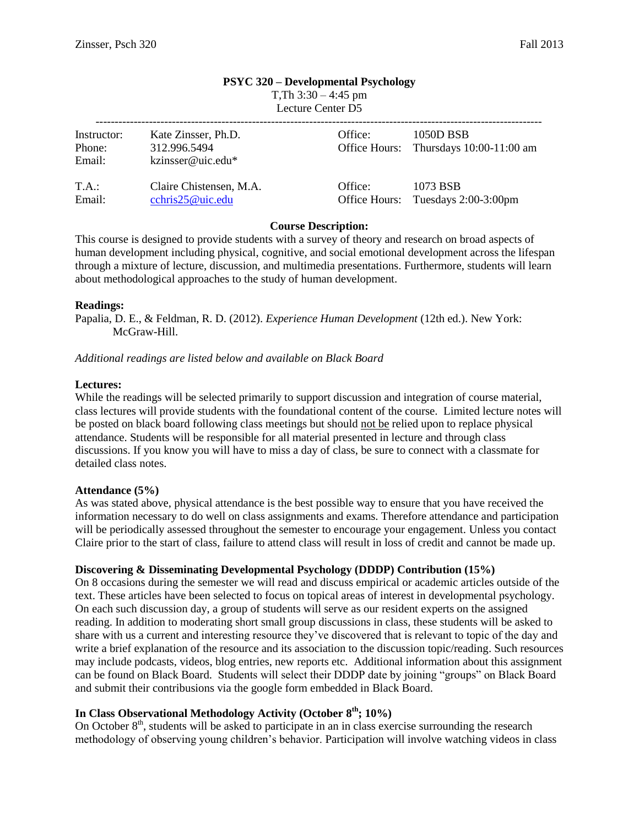#### **PSYC 320 – Developmental Psychology**

T, Th  $3:30 - 4:45$  pm

Lecture Center D5

| Instructor:<br>Phone:<br>Email: | Kate Zinsser, Ph.D.<br>312.996.5494<br>kzinsser@uic.edu* | Office: | 1050D BSB<br>Office Hours: Thursdays 10:00-11:00 am |
|---------------------------------|----------------------------------------------------------|---------|-----------------------------------------------------|
| T.A.:                           | Claire Chistensen, M.A.                                  | Office: | 1073 BSB                                            |
| Email:                          | cchris25@uic.edu                                         |         | Office Hours: Tuesdays 2:00-3:00pm                  |

#### **Course Description:**

This course is designed to provide students with a survey of theory and research on broad aspects of human development including physical, cognitive, and social emotional development across the lifespan through a mixture of lecture, discussion, and multimedia presentations. Furthermore, students will learn about methodological approaches to the study of human development.

#### **Readings:**

Papalia, D. E., & Feldman, R. D. (2012). *Experience Human Development* (12th ed.). New York: McGraw-Hill.

*Additional readings are listed below and available on Black Board*

#### **Lectures:**

While the readings will be selected primarily to support discussion and integration of course material, class lectures will provide students with the foundational content of the course. Limited lecture notes will be posted on black board following class meetings but should not be relied upon to replace physical attendance. Students will be responsible for all material presented in lecture and through class discussions. If you know you will have to miss a day of class, be sure to connect with a classmate for detailed class notes.

#### **Attendance (5%)**

As was stated above, physical attendance is the best possible way to ensure that you have received the information necessary to do well on class assignments and exams. Therefore attendance and participation will be periodically assessed throughout the semester to encourage your engagement. Unless you contact Claire prior to the start of class, failure to attend class will result in loss of credit and cannot be made up.

#### **Discovering & Disseminating Developmental Psychology (DDDP) Contribution (15%)**

On 8 occasions during the semester we will read and discuss empirical or academic articles outside of the text. These articles have been selected to focus on topical areas of interest in developmental psychology. On each such discussion day, a group of students will serve as our resident experts on the assigned reading. In addition to moderating short small group discussions in class, these students will be asked to share with us a current and interesting resource they've discovered that is relevant to topic of the day and write a brief explanation of the resource and its association to the discussion topic/reading. Such resources may include podcasts, videos, blog entries, new reports etc. Additional information about this assignment can be found on Black Board. Students will select their DDDP date by joining "groups" on Black Board and submit their contribusions via the google form embedded in Black Board.

# **In Class Observational Methodology Activity (October 8th; 10%)**

On October  $8<sup>th</sup>$ , students will be asked to participate in an in class exercise surrounding the research methodology of observing young children's behavior. Participation will involve watching videos in class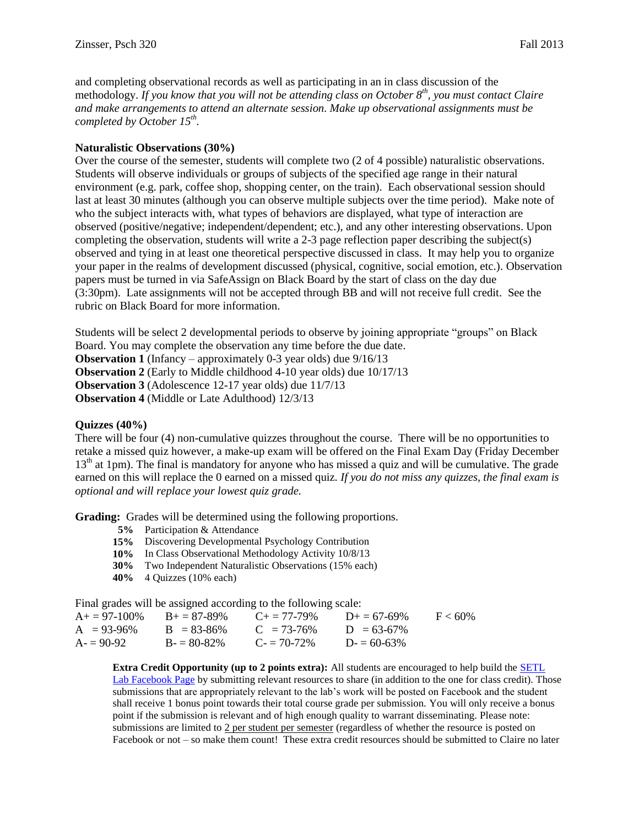and completing observational records as well as participating in an in class discussion of the methodology. *If you know that you will not be attending class on October 8th, you must contact Claire and make arrangements to attend an alternate session. Make up observational assignments must be completed by October 15th .*

#### **Naturalistic Observations (30%)**

Over the course of the semester, students will complete two (2 of 4 possible) naturalistic observations. Students will observe individuals or groups of subjects of the specified age range in their natural environment (e.g. park, coffee shop, shopping center, on the train). Each observational session should last at least 30 minutes (although you can observe multiple subjects over the time period). Make note of who the subject interacts with, what types of behaviors are displayed, what type of interaction are observed (positive/negative; independent/dependent; etc.), and any other interesting observations. Upon completing the observation, students will write a 2-3 page reflection paper describing the subject(s) observed and tying in at least one theoretical perspective discussed in class. It may help you to organize your paper in the realms of development discussed (physical, cognitive, social emotion, etc.). Observation papers must be turned in via SafeAssign on Black Board by the start of class on the day due (3:30pm). Late assignments will not be accepted through BB and will not receive full credit. See the rubric on Black Board for more information.

Students will be select 2 developmental periods to observe by joining appropriate "groups" on Black Board. You may complete the observation any time before the due date. **Observation 1** (Infancy – approximately 0-3 year olds) due 9/16/13 **Observation 2** (Early to Middle childhood 4-10 year olds) due 10/17/13 **Observation 3** (Adolescence 12-17 year olds) due 11/7/13 **Observation 4** (Middle or Late Adulthood) 12/3/13

#### **Quizzes (40%)**

There will be four (4) non-cumulative quizzes throughout the course. There will be no opportunities to retake a missed quiz however, a make-up exam will be offered on the Final Exam Day (Friday December 13<sup>th</sup> at 1pm). The final is mandatory for anyone who has missed a quiz and will be cumulative. The grade earned on this will replace the 0 earned on a missed quiz. *If you do not miss any quizzes, the final exam is optional and will replace your lowest quiz grade.*

**Grading:** Grades will be determined using the following proportions.

- **5%** Participation & Attendance
- **15%** Discovering Developmental Psychology Contribution
- **10%** In Class Observational Methodology Activity 10/8/13
- **30%** Two Independent Naturalistic Observations (15% each)
- **40%** 4 Quizzes (10% each)

Final grades will be assigned according to the following scale:

| $A+=97-100\%$ | $B_{+} = 87 - 89\%$ | $C_{\pm} = 77 - 79\%$ | $D_{+} = 67 - 69\%$ | $F < 60\%$ |
|---------------|---------------------|-----------------------|---------------------|------------|
| $A = 93-96\%$ | $B = 83-86\%$       | $C = 73-76\%$         | $D = 63-67\%$       |            |
| $A = 90-92$   | $B = 80-82\%$       | $C = 70-72%$          | $D = 60-63\%$       |            |

**Extra Credit Opportunity (up to 2 points extra):** All students are encouraged to help build the [SETL](https://www.facebook.com/SETLLab?ref=stream)  [Lab Facebook Page](https://www.facebook.com/SETLLab?ref=stream) by submitting relevant resources to share (in addition to the one for class credit). Those submissions that are appropriately relevant to the lab's work will be posted on Facebook and the student shall receive 1 bonus point towards their total course grade per submission. You will only receive a bonus point if the submission is relevant and of high enough quality to warrant disseminating. Please note: submissions are limited to  $2$  per student per semester (regardless of whether the resource is posted on Facebook or not – so make them count! These extra credit resources should be submitted to Claire no later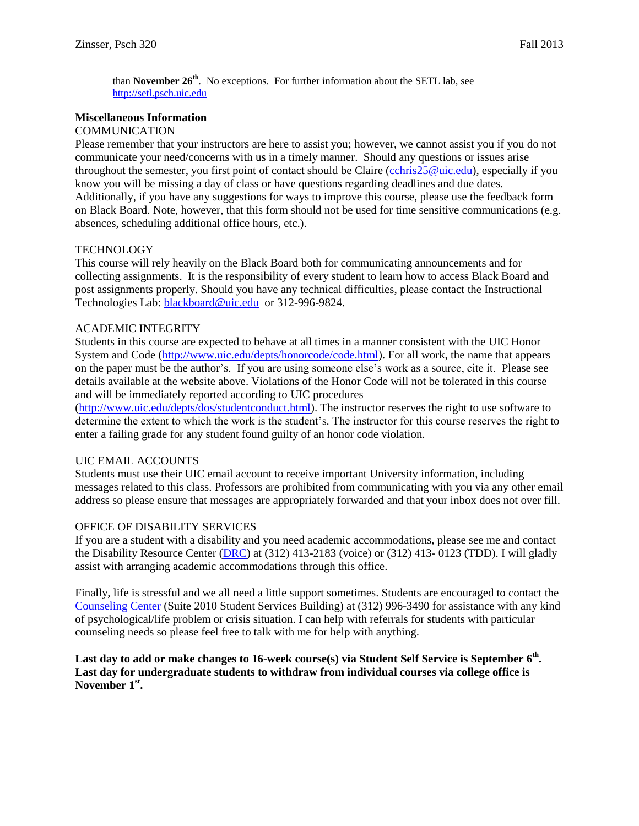than **November 26th**. No exceptions. For further information about the SETL lab, see [http://setl.psch.uic.edu](http://setl.psch.uic.edu/)

## **Miscellaneous Information**

#### **COMMUNICATION**

Please remember that your instructors are here to assist you; however, we cannot assist you if you do not communicate your need/concerns with us in a timely manner. Should any questions or issues arise throughout the semester, you first point of contact should be Claire [\(cchris25@uic.edu\)](mailto:cchris25@uic.edu), especially if you know you will be missing a day of class or have questions regarding deadlines and due dates. Additionally, if you have any suggestions for ways to improve this course, please use the feedback form on Black Board. Note, however, that this form should not be used for time sensitive communications (e.g. absences, scheduling additional office hours, etc.).

## **TECHNOLOGY**

This course will rely heavily on the Black Board both for communicating announcements and for collecting assignments. It is the responsibility of every student to learn how to access Black Board and post assignments properly. Should you have any technical difficulties, please contact the Instructional Technologies Lab: [blackboard@uic.edu](mailto:blackboard@uic.edu) or 312-996-9824.

#### ACADEMIC INTEGRITY

Students in this course are expected to behave at all times in a manner consistent with the UIC Honor System and Code [\(http://www.uic.edu/depts/honorcode/code.html\)](http://www.uic.edu/depts/honorcode/code.html). For all work, the name that appears on the paper must be the author's. If you are using someone else's work as a source, cite it. Please see details available at the website above. Violations of the Honor Code will not be tolerated in this course and will be immediately reported according to UIC procedures

[\(http://www.uic.edu/depts/dos/studentconduct.html\)](http://www.uic.edu/depts/dos/studentconduct.html). The instructor reserves the right to use software to determine the extent to which the work is the student's. The instructor for this course reserves the right to enter a failing grade for any student found guilty of an honor code violation.

## UIC EMAIL ACCOUNTS

Students must use their UIC email account to receive important University information, including messages related to this class. Professors are prohibited from communicating with you via any other email address so please ensure that messages are appropriately forwarded and that your inbox does not over fill.

#### OFFICE OF DISABILITY SERVICES

If you are a student with a disability and you need academic accommodations, please see me and contact the Disability Resource Center [\(DRC\)](http://www.uic.edu/depts/oaa/disability_resources/index.html) at (312) 413-2183 (voice) or (312) 413- 0123 (TDD). I will gladly assist with arranging academic accommodations through this office.

Finally, life is stressful and we all need a little support sometimes. Students are encouraged to contact the [Counseling Center](http://www.uic.edu/depts/counseling/) (Suite 2010 Student Services Building) at (312) 996-3490 for assistance with any kind of psychological/life problem or crisis situation. I can help with referrals for students with particular counseling needs so please feel free to talk with me for help with anything.

**Last day to add or make changes to 16-week course(s) via Student Self Service is September 6th . Last day for undergraduate students to withdraw from individual courses via college office is November 1st .**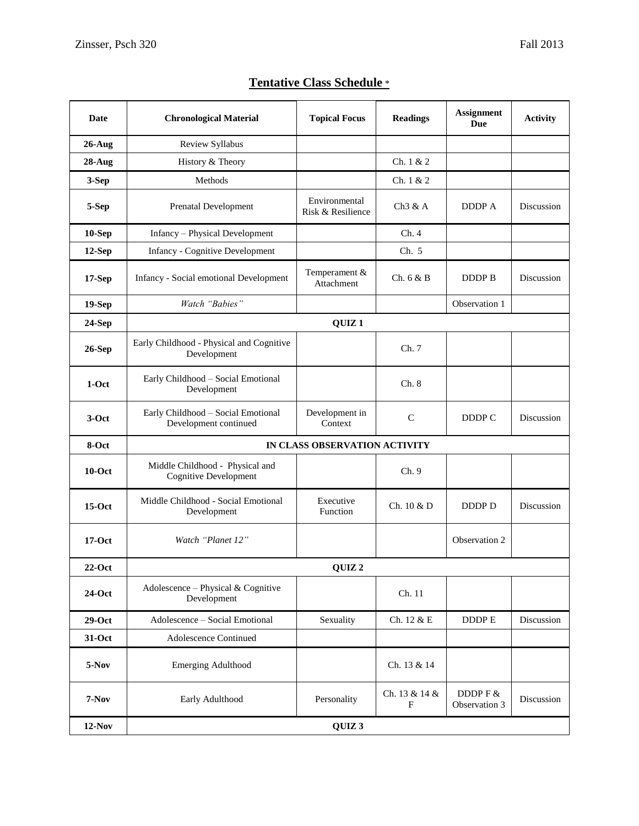|  | <b>Tentative Class Schedule *</b> |
|--|-----------------------------------|
|  |                                   |

| Date          | <b>Chronological Material</b>                                   | <b>Topical Focus</b>               | <b>Readings</b>    | <b>Assignment</b><br><b>Due</b> | <b>Activity</b> |
|---------------|-----------------------------------------------------------------|------------------------------------|--------------------|---------------------------------|-----------------|
| $26$ -Aug     | Review Syllabus                                                 |                                    |                    |                                 |                 |
| $28$ -Aug     | History & Theory                                                |                                    | Ch. 1 & 2          |                                 |                 |
| 3-Sep         | Methods                                                         |                                    | Ch. 1 & 2          |                                 |                 |
| 5-Sep         | <b>Prenatal Development</b>                                     | Environmental<br>Risk & Resilience | Ch3 & A            | DDDP A                          | Discussion      |
| $10-Sep$      | Infancy - Physical Development                                  |                                    | Ch. 4              |                                 |                 |
| $12-Sep$      | <b>Infancy - Cognitive Development</b>                          |                                    | Ch. 5              |                                 |                 |
| $17-Sep$      | <b>Infancy - Social emotional Development</b>                   | Temperament &<br>Attachment        | Ch. 6 & B          | DDDP B                          | Discussion      |
| $19-Sep$      | Watch "Babies"                                                  |                                    |                    | Observation 1                   |                 |
| $24-Sep$      | QUIZ <sub>1</sub>                                               |                                    |                    |                                 |                 |
| <b>26-Sep</b> | Early Childhood - Physical and Cognitive<br>Development         |                                    | Ch. 7              |                                 |                 |
| $1-Oct$       | Early Childhood - Social Emotional<br>Development               |                                    | Ch. 8              |                                 |                 |
| $3-Oct$       | Early Childhood - Social Emotional<br>Development continued     | Development in<br>Context          | $\mathcal{C}$      | DDDP C                          | Discussion      |
| 8-Oct         |                                                                 | IN CLASS OBSERVATION ACTIVITY      |                    |                                 |                 |
| $10$ -Oct     | Middle Childhood - Physical and<br><b>Cognitive Development</b> |                                    | Ch. 9              |                                 |                 |
| $15-Oct$      | Middle Childhood - Social Emotional<br>Development              | Executive<br>Function              | Ch. 10 & D         | DDDP D                          | Discussion      |
| $17-Oct$      | Watch "Planet 12"                                               |                                    |                    | Observation 2                   |                 |
| $22-Oct$      | QUIZ <sub>2</sub>                                               |                                    |                    |                                 |                 |
| $24$ -Oct     | Adolescence – Physical & Cognitive<br>Development               |                                    | Ch. 11             |                                 |                 |
| $29-Oct$      | Adolescence - Social Emotional                                  | Sexuality                          | Ch. 12 & E         | DDDP E                          | Discussion      |
| $31-Oct$      | Adolescence Continued                                           |                                    |                    |                                 |                 |
| 5-Nov         | <b>Emerging Adulthood</b>                                       |                                    | Ch. 13 & 14        |                                 |                 |
| $7-Nov$       | Early Adulthood                                                 | Personality                        | Ch. 13 & 14 &<br>F | DDDP F &<br>Observation 3       | Discussion      |
| $12-Nov$      |                                                                 | QUIZ <sub>3</sub>                  |                    |                                 |                 |